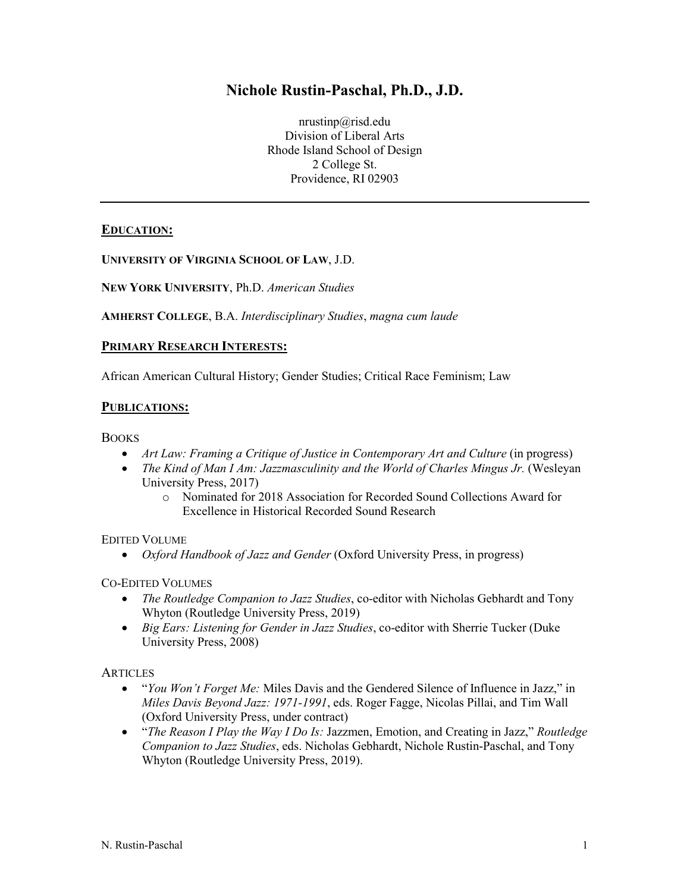# **Nichole Rustin-Paschal, Ph.D., J.D.**

nrustinp@risd.edu Division of Liberal Arts Rhode Island School of Design 2 College St. Providence, RI 02903

## **EDUCATION:**

**UNIVERSITY OF VIRGINIA SCHOOL OF LAW**, J.D.

**NEW YORK UNIVERSITY**, Ph.D. *American Studies*

**AMHERST COLLEGE**, B.A. *Interdisciplinary Studies*, *magna cum laude*

## **PRIMARY RESEARCH INTERESTS:**

African American Cultural History; Gender Studies; Critical Race Feminism; Law

## **PUBLICATIONS:**

**BOOKS** 

- *Art Law: Framing a Critique of Justice in Contemporary Art and Culture* (in progress)
- *The Kind of Man I Am: Jazzmasculinity and the World of Charles Mingus Jr.* (Wesleyan University Press, 2017)
	- o Nominated for 2018 Association for Recorded Sound Collections Award for Excellence in Historical Recorded Sound Research

#### EDITED VOLUME

• *Oxford Handbook of Jazz and Gender* (Oxford University Press, in progress)

#### CO-EDITED VOLUMES

- *The Routledge Companion to Jazz Studies*, co-editor with Nicholas Gebhardt and Tony Whyton (Routledge University Press, 2019)
- *Big Ears: Listening for Gender in Jazz Studies*, co-editor with Sherrie Tucker (Duke University Press, 2008)

#### **ARTICLES**

- "*You Won't Forget Me:* Miles Davis and the Gendered Silence of Influence in Jazz," in *Miles Davis Beyond Jazz: 1971-1991*, eds. Roger Fagge, Nicolas Pillai, and Tim Wall (Oxford University Press, under contract)
- "*The Reason I Play the Way I Do Is:* Jazzmen, Emotion, and Creating in Jazz," *Routledge Companion to Jazz Studies*, eds. Nicholas Gebhardt, Nichole Rustin-Paschal, and Tony Whyton (Routledge University Press, 2019).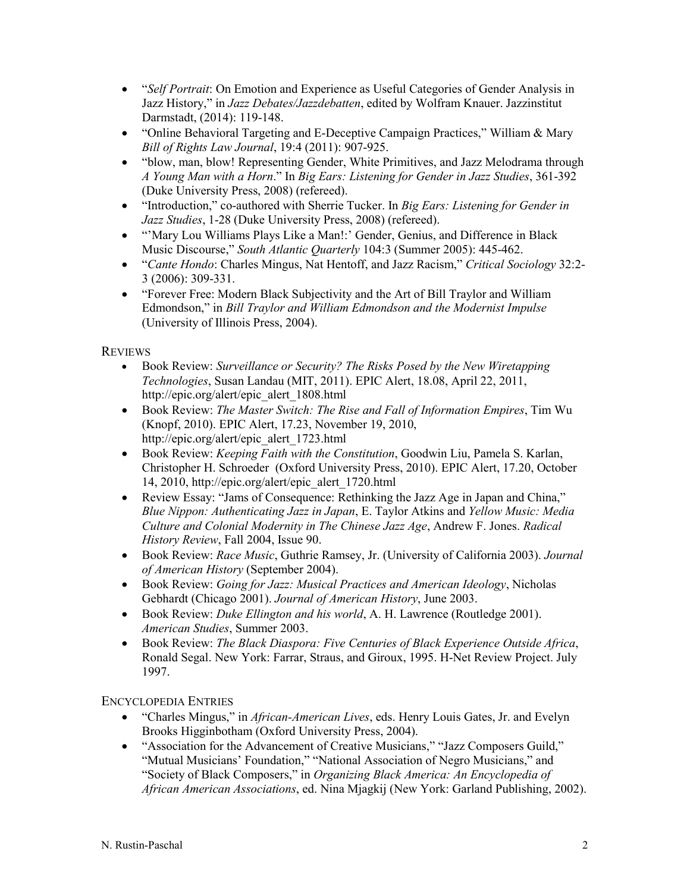- "*Self Portrait*: On Emotion and Experience as Useful Categories of Gender Analysis in Jazz History," in *Jazz Debates/Jazzdebatten*, edited by Wolfram Knauer. Jazzinstitut Darmstadt, (2014): 119-148.
- "Online Behavioral Targeting and E-Deceptive Campaign Practices," William & Mary *Bill of Rights Law Journal*, 19:4 (2011): 907-925.
- "blow, man, blow! Representing Gender, White Primitives, and Jazz Melodrama through *A Young Man with a Horn*." In *Big Ears: Listening for Gender in Jazz Studies*, 361-392 (Duke University Press, 2008) (refereed).
- "Introduction," co-authored with Sherrie Tucker. In *Big Ears: Listening for Gender in Jazz Studies*, 1-28 (Duke University Press, 2008) (refereed).
- "'Mary Lou Williams Plays Like a Man!:' Gender, Genius, and Difference in Black Music Discourse," *South Atlantic Quarterly* 104:3 (Summer 2005): 445-462.
- "*Cante Hondo*: Charles Mingus, Nat Hentoff, and Jazz Racism," *Critical Sociology* 32:2- 3 (2006): 309-331.
- "Forever Free: Modern Black Subjectivity and the Art of Bill Traylor and William Edmondson," in *Bill Traylor and William Edmondson and the Modernist Impulse* (University of Illinois Press, 2004).

# **REVIEWS**

- Book Review: *Surveillance or Security? The Risks Posed by the New Wiretapping Technologies*, Susan Landau (MIT, 2011). EPIC Alert, 18.08, April 22, 2011, http://epic.org/alert/epic\_alert\_1808.html
- Book Review: *The Master Switch: The Rise and Fall of Information Empires*, Tim Wu (Knopf, 2010). EPIC Alert, 17.23, November 19, 2010, [http://epic.org/alert/epic\\_alert\\_1723.html](http://epic.org/alert/epic_alert_1723.html)
- Book Review: *Keeping Faith with the Constitution*, Goodwin Liu, Pamela S. Karlan, Christopher H. Schroeder (Oxford University Press, 2010). EPIC Alert, 17.20, October 14, 2010, [http://epic.org/alert/epic\\_alert\\_1720.html](http://epic.org/alert/epic_alert_1720.html)
- Review Essay: "Jams of Consequence: Rethinking the Jazz Age in Japan and China," *Blue Nippon: Authenticating Jazz in Japan*, E. Taylor Atkins and *Yellow Music: Media Culture and Colonial Modernity in The Chinese Jazz Age*, Andrew F. Jones. *Radical History Review*, Fall 2004, Issue 90.
- Book Review: *Race Music*, Guthrie Ramsey, Jr. (University of California 2003). *Journal of American History* (September 2004).
- Book Review: *Going for Jazz: Musical Practices and American Ideology*, Nicholas Gebhardt (Chicago 2001). *Journal of American History*, June 2003.
- Book Review: *Duke Ellington and his world*, A. H. Lawrence (Routledge 2001). *American Studies*, Summer 2003.
- Book Review: *The Black Diaspora: Five Centuries of Black Experience Outside Africa*, Ronald Segal. New York: Farrar, Straus, and Giroux, 1995. H-Net Review Project. July 1997.

ENCYCLOPEDIA ENTRIES

- "Charles Mingus," in *African-American Lives*, eds. Henry Louis Gates, Jr. and Evelyn Brooks Higginbotham (Oxford University Press, 2004).
- "Association for the Advancement of Creative Musicians," "Jazz Composers Guild," "Mutual Musicians' Foundation," "National Association of Negro Musicians," and "Society of Black Composers," in *Organizing Black America: An Encyclopedia of African American Associations*, ed. Nina Mjagkij (New York: Garland Publishing, 2002).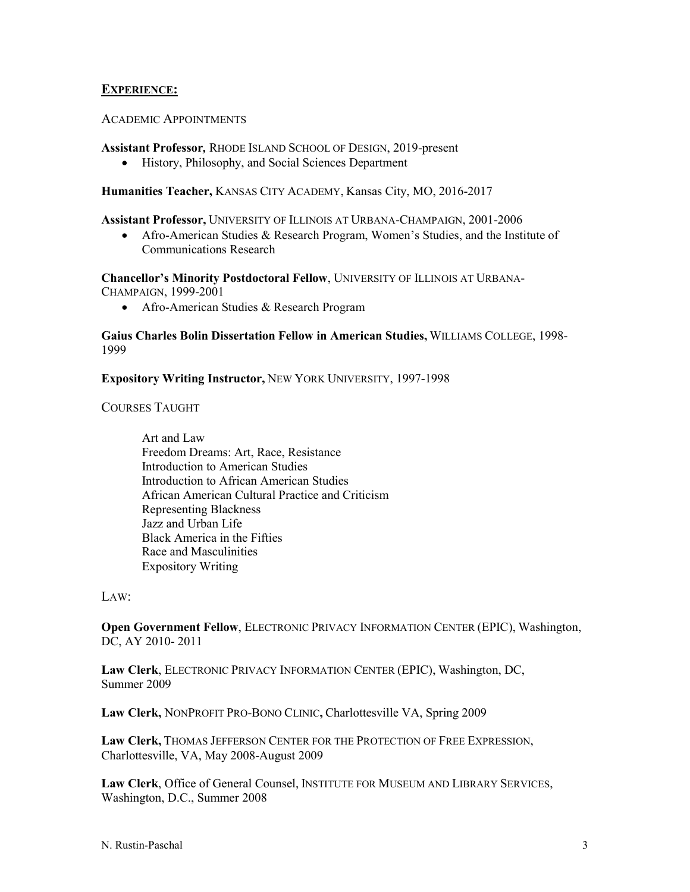## **EXPERIENCE:**

#### ACADEMIC APPOINTMENTS

**Assistant Professor***,* RHODE ISLAND SCHOOL OF DESIGN, 2019-present

• History, Philosophy, and Social Sciences Department

**Humanities Teacher,** KANSAS CITY ACADEMY, Kansas City, MO, 2016-2017

**Assistant Professor,** UNIVERSITY OF ILLINOIS AT URBANA-CHAMPAIGN, 2001-2006

• Afro-American Studies & Research Program, Women's Studies, and the Institute of Communications Research

**Chancellor's Minority Postdoctoral Fellow**, UNIVERSITY OF ILLINOIS AT URBANA-CHAMPAIGN, 1999-2001

• Afro-American Studies & Research Program

**Gaius Charles Bolin Dissertation Fellow in American Studies,** WILLIAMS COLLEGE, 1998- 1999

**Expository Writing Instructor,** NEW YORK UNIVERSITY, 1997-1998

COURSES TAUGHT

Art and Law Freedom Dreams: Art, Race, Resistance Introduction to American Studies Introduction to African American Studies African American Cultural Practice and Criticism Representing Blackness Jazz and Urban Life Black America in the Fifties Race and Masculinities Expository Writing

LAW:

**Open Government Fellow**, ELECTRONIC PRIVACY INFORMATION CENTER (EPIC), Washington, DC, AY 2010- 2011

**Law Clerk**, ELECTRONIC PRIVACY INFORMATION CENTER (EPIC), Washington, DC, Summer 2009

**Law Clerk,** NONPROFIT PRO-BONO CLINIC**,** Charlottesville VA, Spring 2009

**Law Clerk,** THOMAS JEFFERSON CENTER FOR THE PROTECTION OF FREE EXPRESSION, Charlottesville, VA, May 2008-August 2009

**Law Clerk**, Office of General Counsel, INSTITUTE FOR MUSEUM AND LIBRARY SERVICES, Washington, D.C., Summer 2008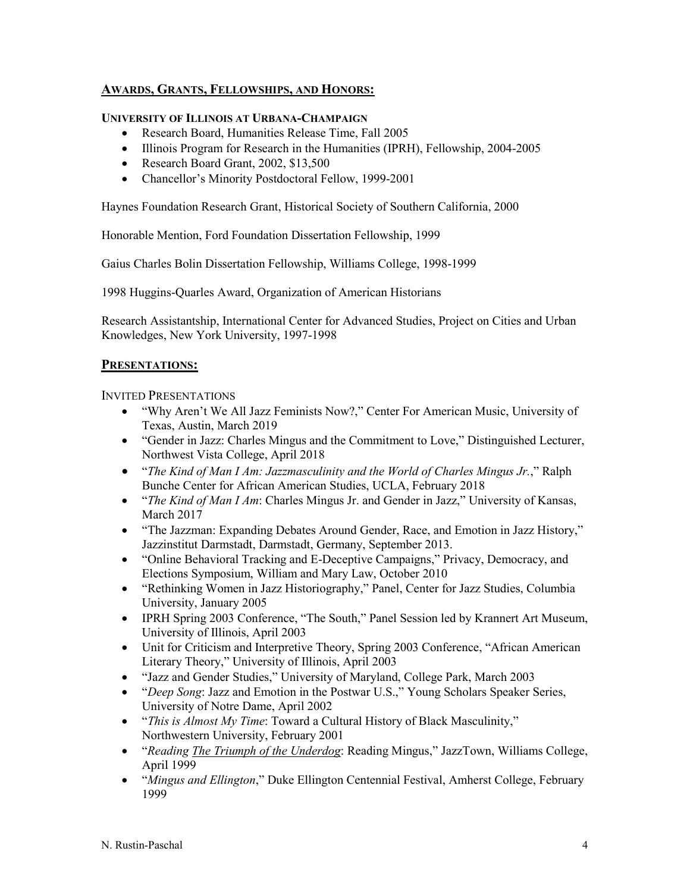# **AWARDS, GRANTS, FELLOWSHIPS, AND HONORS:**

#### **UNIVERSITY OF ILLINOIS AT URBANA-CHAMPAIGN**

- Research Board, Humanities Release Time, Fall 2005
- Illinois Program for Research in the Humanities (IPRH), Fellowship, 2004-2005
- Research Board Grant, 2002, \$13,500
- Chancellor's Minority Postdoctoral Fellow, 1999-2001

Haynes Foundation Research Grant, Historical Society of Southern California, 2000

Honorable Mention, Ford Foundation Dissertation Fellowship, 1999

Gaius Charles Bolin Dissertation Fellowship, Williams College, 1998-1999

1998 Huggins-Quarles Award, Organization of American Historians

Research Assistantship, International Center for Advanced Studies, Project on Cities and Urban Knowledges, New York University, 1997-1998

## **PRESENTATIONS:**

INVITED PRESENTATIONS

- "Why Aren't We All Jazz Feminists Now?," Center For American Music, University of Texas, Austin, March 2019
- "Gender in Jazz: Charles Mingus and the Commitment to Love," Distinguished Lecturer, Northwest Vista College, April 2018
- "*The Kind of Man I Am: Jazzmasculinity and the World of Charles Mingus Jr.*," Ralph Bunche Center for African American Studies, UCLA, February 2018
- "*The Kind of Man I Am*: Charles Mingus Jr. and Gender in Jazz," University of Kansas, March 2017
- "The Jazzman: Expanding Debates Around Gender, Race, and Emotion in Jazz History," Jazzinstitut Darmstadt, Darmstadt, Germany, September 2013.
- "Online Behavioral Tracking and E-Deceptive Campaigns," Privacy, Democracy, and Elections Symposium, William and Mary Law, October 2010
- "Rethinking Women in Jazz Historiography," Panel, Center for Jazz Studies, Columbia University, January 2005
- IPRH Spring 2003 Conference, "The South," Panel Session led by Krannert Art Museum, University of Illinois, April 2003
- Unit for Criticism and Interpretive Theory, Spring 2003 Conference, "African American Literary Theory," University of Illinois, April 2003
- "Jazz and Gender Studies," University of Maryland, College Park, March 2003
- "*Deep Song*: Jazz and Emotion in the Postwar U.S.," Young Scholars Speaker Series, University of Notre Dame, April 2002
- "*This is Almost My Time*: Toward a Cultural History of Black Masculinity," Northwestern University, February 2001
- "*Reading The Triumph of the Underdog*: Reading Mingus," JazzTown, Williams College, April 1999
- "*Mingus and Ellington*," Duke Ellington Centennial Festival, Amherst College, February 1999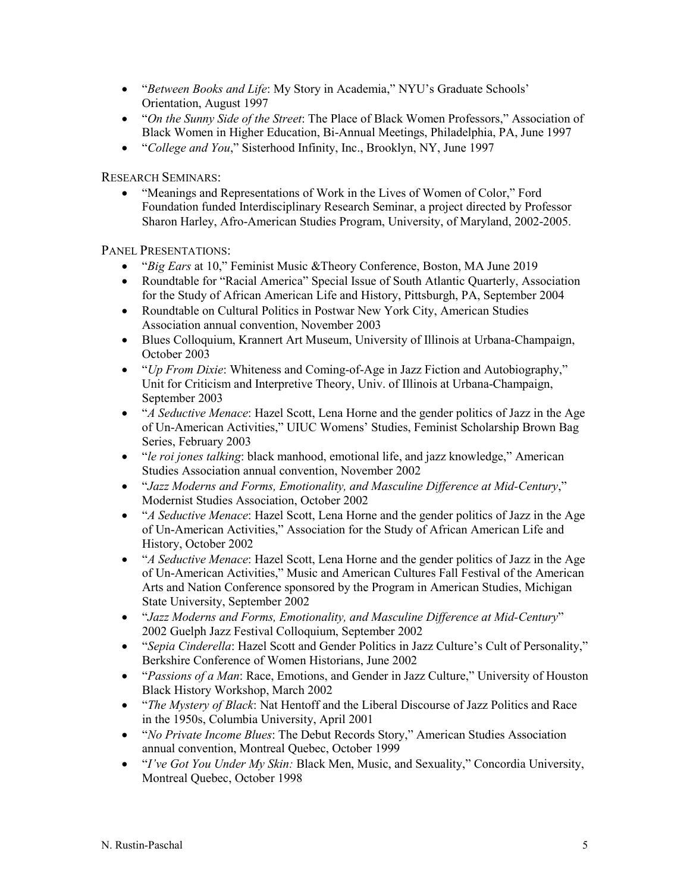- "*Between Books and Life*: My Story in Academia," NYU's Graduate Schools' Orientation, August 1997
- "*On the Sunny Side of the Street*: The Place of Black Women Professors," Association of Black Women in Higher Education, Bi-Annual Meetings, Philadelphia, PA, June 1997
- "*College and You*," Sisterhood Infinity, Inc., Brooklyn, NY, June 1997

RESEARCH SEMINARS:

• "Meanings and Representations of Work in the Lives of Women of Color," Ford Foundation funded Interdisciplinary Research Seminar, a project directed by Professor Sharon Harley, Afro-American Studies Program, University, of Maryland, 2002-2005.

PANEL PRESENTATIONS:

- "*Big Ears* at 10," Feminist Music &Theory Conference, Boston, MA June 2019
- Roundtable for "Racial America" Special Issue of South Atlantic Quarterly, Association for the Study of African American Life and History, Pittsburgh, PA, September 2004
- Roundtable on Cultural Politics in Postwar New York City, American Studies Association annual convention, November 2003
- Blues Colloquium, Krannert Art Museum, University of Illinois at Urbana-Champaign, October 2003
- "*Up From Dixie*: Whiteness and Coming-of-Age in Jazz Fiction and Autobiography," Unit for Criticism and Interpretive Theory, Univ. of Illinois at Urbana-Champaign, September 2003
- "*A Seductive Menace*: Hazel Scott, Lena Horne and the gender politics of Jazz in the Age of Un-American Activities," UIUC Womens' Studies, Feminist Scholarship Brown Bag Series, February 2003
- "*le roi jones talking*: black manhood, emotional life, and jazz knowledge," American Studies Association annual convention, November 2002
- "*Jazz Moderns and Forms, Emotionality, and Masculine Difference at Mid-Century*," Modernist Studies Association, October 2002
- "*A Seductive Menace*: Hazel Scott, Lena Horne and the gender politics of Jazz in the Age of Un-American Activities," Association for the Study of African American Life and History, October 2002
- "*A Seductive Menace*: Hazel Scott, Lena Horne and the gender politics of Jazz in the Age of Un-American Activities," Music and American Cultures Fall Festival of the American Arts and Nation Conference sponsored by the Program in American Studies, Michigan State University, September 2002
- "*Jazz Moderns and Forms, Emotionality, and Masculine Difference at Mid-Century*" 2002 Guelph Jazz Festival Colloquium, September 2002
- "*Sepia Cinderella*: Hazel Scott and Gender Politics in Jazz Culture's Cult of Personality," Berkshire Conference of Women Historians, June 2002
- "*Passions of a Man*: Race, Emotions, and Gender in Jazz Culture," University of Houston Black History Workshop, March 2002
- "*The Mystery of Black*: Nat Hentoff and the Liberal Discourse of Jazz Politics and Race in the 1950s, Columbia University, April 2001
- "*No Private Income Blues*: The Debut Records Story," American Studies Association annual convention, Montreal Quebec, October 1999
- "*I've Got You Under My Skin:* Black Men, Music, and Sexuality," Concordia University, Montreal Quebec, October 1998